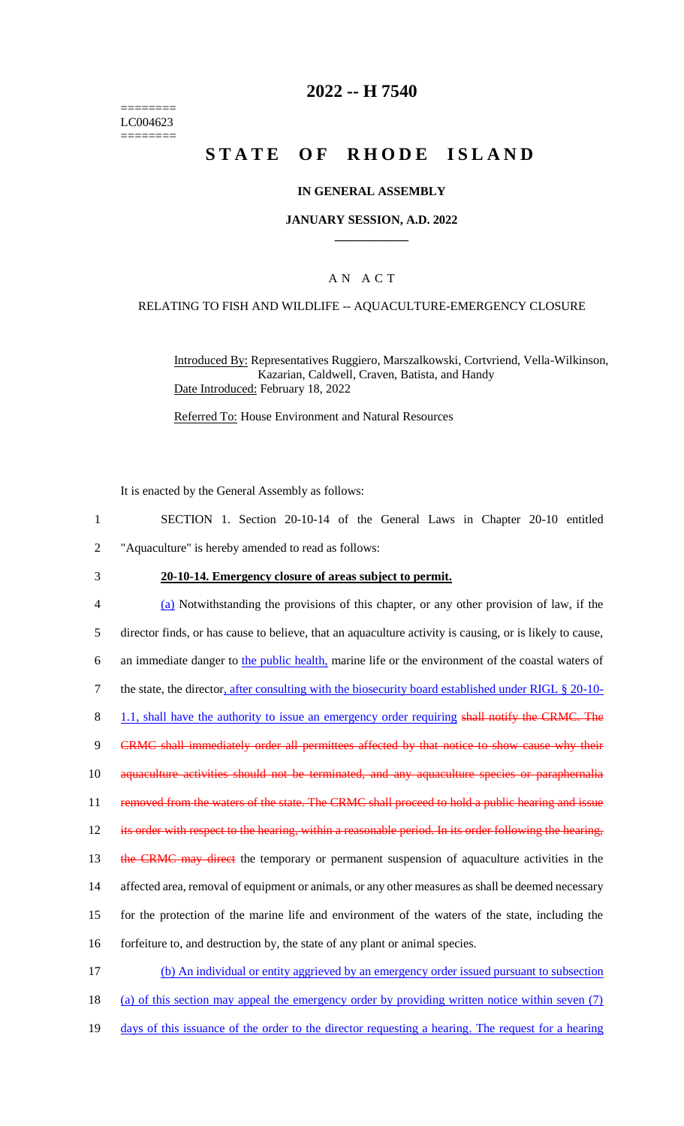======== LC004623 ========

### **2022 -- H 7540**

# **STATE OF RHODE ISLAND**

#### **IN GENERAL ASSEMBLY**

#### **JANUARY SESSION, A.D. 2022 \_\_\_\_\_\_\_\_\_\_\_\_**

#### A N A C T

#### RELATING TO FISH AND WILDLIFE -- AQUACULTURE-EMERGENCY CLOSURE

Introduced By: Representatives Ruggiero, Marszalkowski, Cortvriend, Vella-Wilkinson, Kazarian, Caldwell, Craven, Batista, and Handy Date Introduced: February 18, 2022

Referred To: House Environment and Natural Resources

It is enacted by the General Assembly as follows:

- 1 SECTION 1. Section 20-10-14 of the General Laws in Chapter 20-10 entitled 2 "Aquaculture" is hereby amended to read as follows:
- 

### 3 **20-10-14. Emergency closure of areas subject to permit.**

4 (a) Notwithstanding the provisions of this chapter, or any other provision of law, if the 5 director finds, or has cause to believe, that an aquaculture activity is causing, or is likely to cause, 6 an immediate danger to the public health, marine life or the environment of the coastal waters of 7 the state, the director, after consulting with the biosecurity board established under RIGL § 20-10- 8 1.1, shall have the authority to issue an emergency order requiring shall notify the CRMC. The 9 CRMC shall immediately order all permittees affected by that notice to show cause why their 10 aquaculture activities should not be terminated, and any aquaculture species or paraphernalia 11 removed from the waters of the state. The CRMC shall proceed to hold a public hearing and issue 12 its order with respect to the hearing, within a reasonable period. In its order following the hearing, 13 the CRMC may direct the temporary or permanent suspension of aquaculture activities in the 14 affected area, removal of equipment or animals, or any other measures as shall be deemed necessary 15 for the protection of the marine life and environment of the waters of the state, including the 16 forfeiture to, and destruction by, the state of any plant or animal species. 17 (b) An individual or entity aggrieved by an emergency order issued pursuant to subsection 18 (a) of this section may appeal the emergency order by providing written notice within seven (7)

- 
- 19 days of this issuance of the order to the director requesting a hearing. The request for a hearing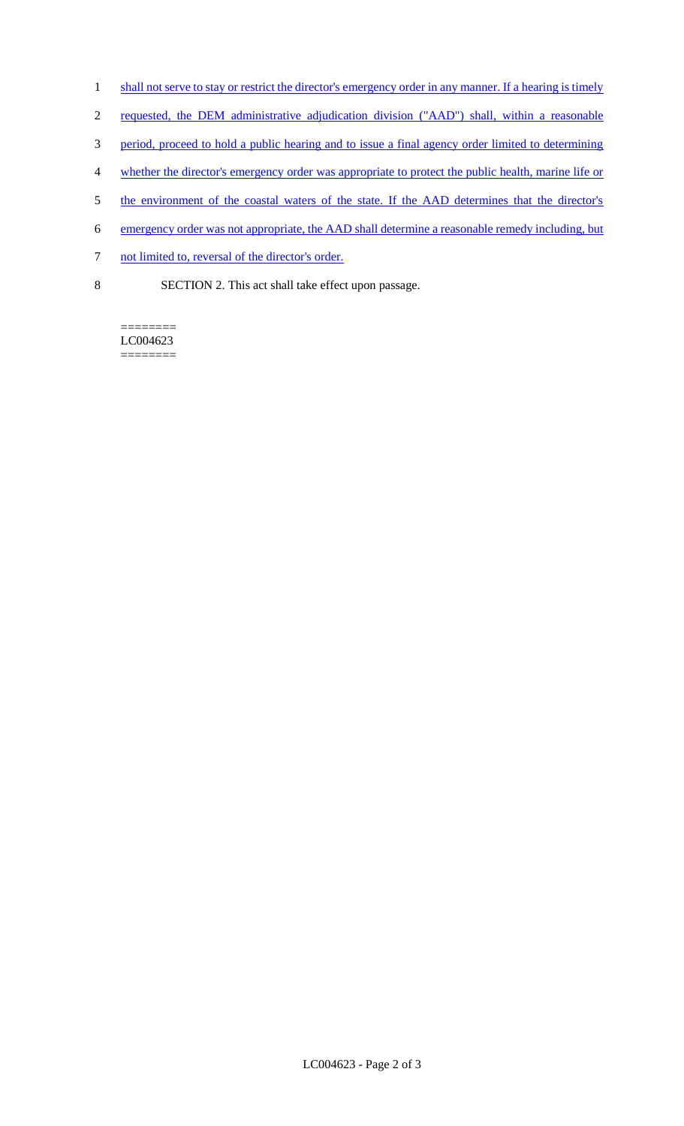- 1 shall not serve to stay or restrict the director's emergency order in any manner. If a hearing is timely
- 2 requested, the DEM administrative adjudication division ("AAD") shall, within a reasonable
- 3 period, proceed to hold a public hearing and to issue a final agency order limited to determining
- 4 whether the director's emergency order was appropriate to protect the public health, marine life or
- 5 the environment of the coastal waters of the state. If the AAD determines that the director's
- 6 emergency order was not appropriate, the AAD shall determine a reasonable remedy including, but
- 7 not limited to, reversal of the director's order.
- 8 SECTION 2. This act shall take effect upon passage.

======== LC004623 ========